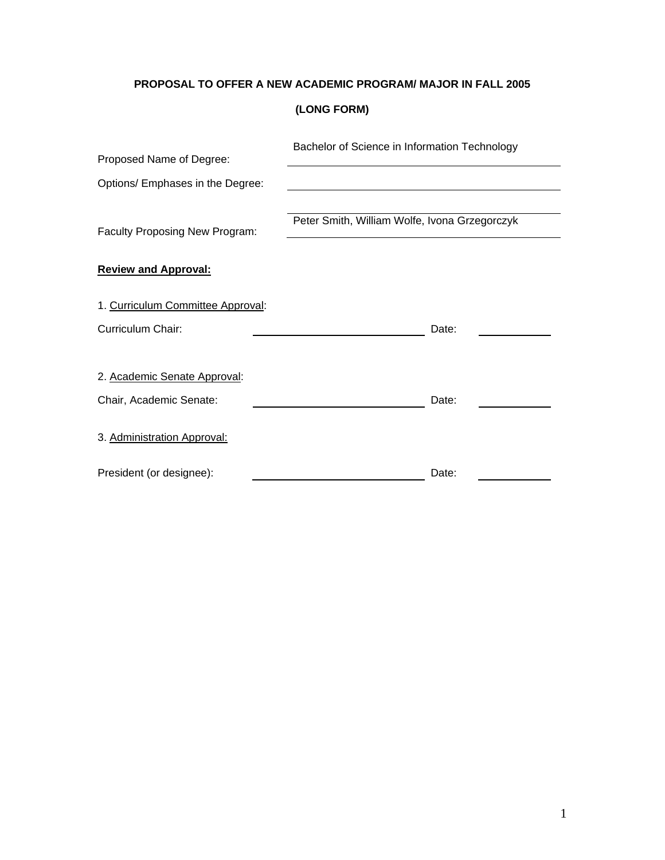# **PROPOSAL TO OFFER A NEW ACADEMIC PROGRAM/ MAJOR IN FALL 2005**

# **(LONG FORM)**

|                                   | Bachelor of Science in Information Technology |  |
|-----------------------------------|-----------------------------------------------|--|
| Proposed Name of Degree:          |                                               |  |
| Options/ Emphases in the Degree:  |                                               |  |
|                                   |                                               |  |
| Faculty Proposing New Program:    | Peter Smith, William Wolfe, Ivona Grzegorczyk |  |
|                                   |                                               |  |
| <b>Review and Approval:</b>       |                                               |  |
| 1. Curriculum Committee Approval: |                                               |  |
| Curriculum Chair:                 | Date:                                         |  |
|                                   |                                               |  |
| 2. Academic Senate Approval:      |                                               |  |
| Chair, Academic Senate:           | Date:                                         |  |
| 3. Administration Approval:       |                                               |  |
| President (or designee):          | Date:                                         |  |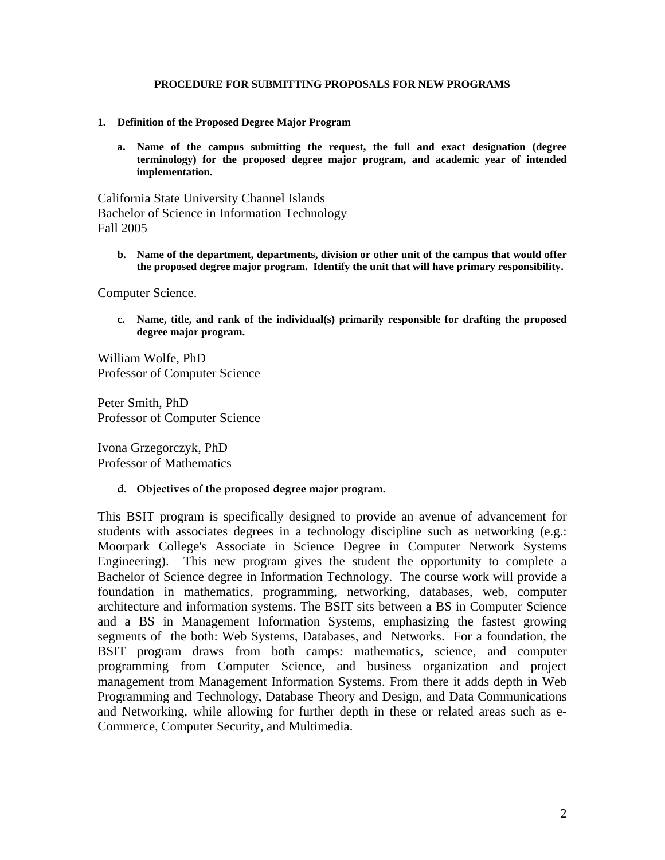## **PROCEDURE FOR SUBMITTING PROPOSALS FOR NEW PROGRAMS**

- **1. Definition of the Proposed Degree Major Program**
	- **a. Name of the campus submitting the request, the full and exact designation (degree terminology) for the proposed degree major program, and academic year of intended implementation.**

California State University Channel Islands Bachelor of Science in Information Technology Fall 2005

**b. Name of the department, departments, division or other unit of the campus that would offer the proposed degree major program. Identify the unit that will have primary responsibility.**

Computer Science.

**c. Name, title, and rank of the individual(s) primarily responsible for drafting the proposed degree major program.**

William Wolfe, PhD Professor of Computer Science

Peter Smith, PhD Professor of Computer Science

Ivona Grzegorczyk, PhD Professor of Mathematics

**d. Objectives of the proposed degree major program.**

This BSIT program is specifically designed to provide an avenue of advancement for students with associates degrees in a technology discipline such as networking (e.g.: Moorpark College's Associate in Science Degree in Computer Network Systems Engineering). This new program gives the student the opportunity to complete a Bachelor of Science degree in Information Technology. The course work will provide a foundation in mathematics, programming, networking, databases, web, computer architecture and information systems. The BSIT sits between a BS in Computer Science and a BS in Management Information Systems, emphasizing the fastest growing segments of the both: Web Systems, Databases, and Networks. For a foundation, the BSIT program draws from both camps: mathematics, science, and computer programming from Computer Science, and business organization and project management from Management Information Systems. From there it adds depth in Web Programming and Technology, Database Theory and Design, and Data Communications and Networking, while allowing for further depth in these or related areas such as e-Commerce, Computer Security, and Multimedia.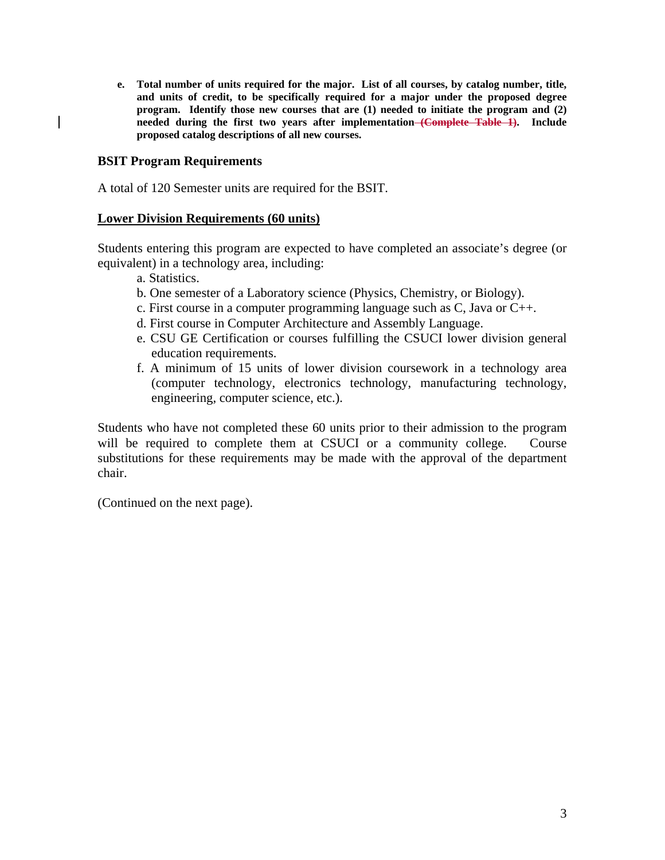**e. Total number of units required for the major. List of all courses, by catalog number, title, and units of credit, to be specifically required for a major under the proposed degree program. Identify those new courses that are (1) needed to initiate the program and (2) needed during the first two years after implementation (Complete Table 1). Include proposed catalog descriptions of all new courses.** 

# **BSIT Program Requirements**

A total of 120 Semester units are required for the BSIT.

## **Lower Division Requirements (60 units)**

Students entering this program are expected to have completed an associate's degree (or equivalent) in a technology area, including:

- a. Statistics.
- b. One semester of a Laboratory science (Physics, Chemistry, or Biology).
- c. First course in a computer programming language such as C, Java or C++.
- d. First course in Computer Architecture and Assembly Language.
- e. CSU GE Certification or courses fulfilling the CSUCI lower division general education requirements.
- f. A minimum of 15 units of lower division coursework in a technology area (computer technology, electronics technology, manufacturing technology, engineering, computer science, etc.).

Students who have not completed these 60 units prior to their admission to the program will be required to complete them at CSUCI or a community college. Course substitutions for these requirements may be made with the approval of the department chair.

(Continued on the next page).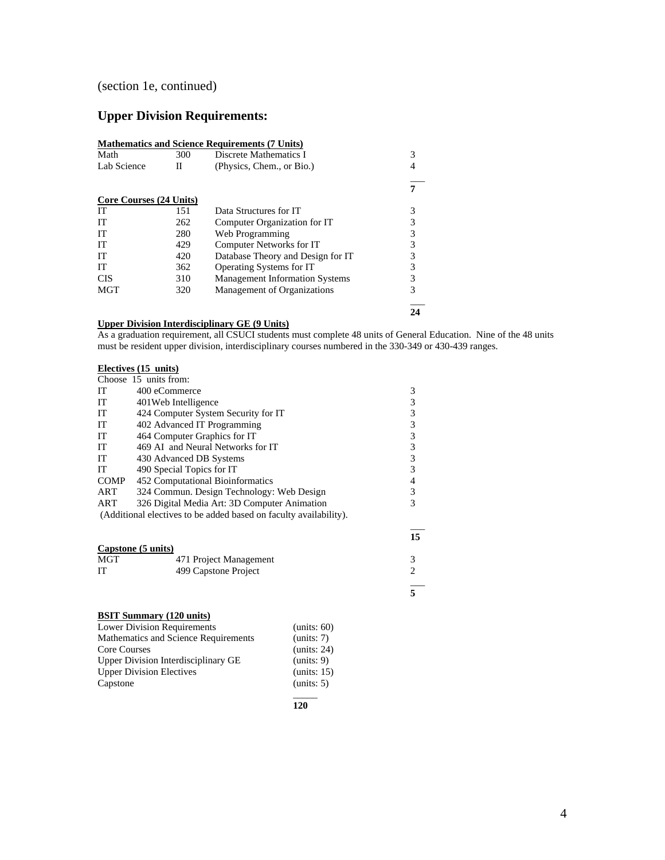# (section 1e, continued)

# **Upper Division Requirements:**

|                         |     | <b>Mathematics and Science Requirements (7 Units)</b> |   |
|-------------------------|-----|-------------------------------------------------------|---|
| Math                    | 300 | Discrete Mathematics I                                | 3 |
| Lab Science             | П   | (Physics, Chem., or Bio.)                             |   |
|                         |     |                                                       |   |
| Core Courses (24 Units) |     |                                                       |   |
| IT                      | 151 | Data Structures for IT                                | 3 |
| IT                      | 262 | Computer Organization for IT                          | 3 |
| IT                      | 280 | Web Programming                                       | 3 |
| IT                      | 429 | Computer Networks for IT                              |   |
| IT                      | 420 | Database Theory and Design for IT                     | 3 |
| IT                      | 362 | Operating Systems for IT                              | 3 |
| CIS                     | 310 | <b>Management Information Systems</b>                 | 3 |
| <b>MGT</b>              | 320 | Management of Organizations                           | 3 |
|                         |     |                                                       |   |

#### **Upper Division Interdisciplinary GE (9 Units)**

As a graduation requirement, all CSUCI students must complete 48 units of General Education. Nine of the 48 units must be resident upper division, interdisciplinary courses numbered in the 330-349 or 430-439 ranges.

### **Electives (15 units)**

|             | Choose 15 units from:                                             |   |
|-------------|-------------------------------------------------------------------|---|
| IT          | 400 eCommerce                                                     | 3 |
| IT          | 401 Web Intelligence                                              |   |
| IT          | 424 Computer System Security for IT                               |   |
| IT          | 402 Advanced IT Programming                                       |   |
| IT          | 464 Computer Graphics for IT                                      |   |
| IT          | 469 AI and Neural Networks for IT                                 |   |
| IT          | 430 Advanced DB Systems                                           |   |
| IT          | 490 Special Topics for IT                                         |   |
| <b>COMP</b> | 452 Computational Bioinformatics                                  |   |
| ART         | 324 Commun. Design Technology: Web Design                         | 3 |
| ART         | 326 Digital Media Art: 3D Computer Animation                      |   |
|             | (Additional electives to be added based on faculty availability). |   |
|             |                                                                   |   |

| Capstone (5 units) |                        |  |
|--------------------|------------------------|--|
| MGT                | 471 Project Management |  |
| IТ                 | 499 Capstone Project   |  |
|                    |                        |  |
|                    |                        |  |

### **BSIT Summary (120 units)**

| <b>Lower Division Requirements</b>   | (units: 60) |
|--------------------------------------|-------------|
| Mathematics and Science Requirements | (units: 7)  |
| <b>Core Courses</b>                  | (units: 24) |
| Upper Division Interdisciplinary GE  | (units: 9)  |
| <b>Upper Division Electives</b>      | (units: 15) |
| Capstone                             | (units: 5)  |
|                                      |             |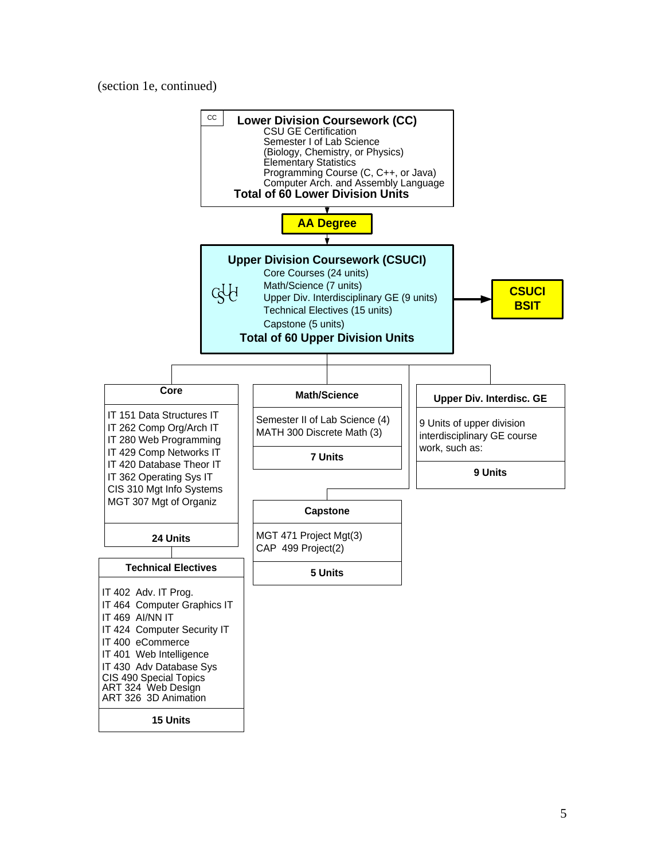(section 1e, continued)

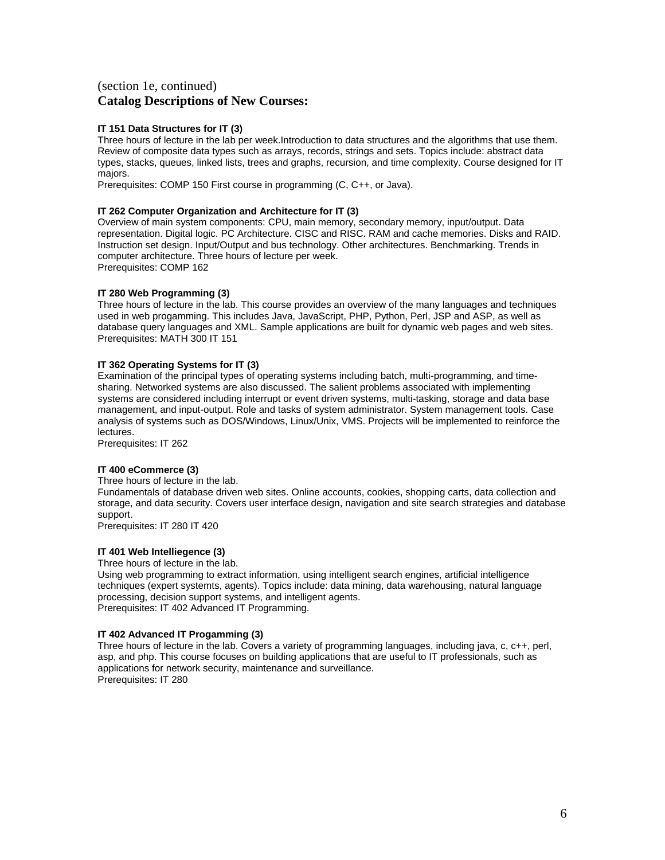## (section 1e, continued) **Catalog Descriptions of New Courses:**

### **IT 151 Data Structures for IT (3)**

Three hours of lecture in the lab per week.Introduction to data structures and the algorithms that use them. Review of composite data types such as arrays, records, strings and sets. Topics include: abstract data types, stacks, queues, linked lists, trees and graphs, recursion, and time complexity. Course designed for IT majors.

Prerequisites: COMP 150 First course in programming (C, C++, or Java).

## **IT 262 Computer Organization and Architecture for IT (3)**

Overview of main system components: CPU, main memory, secondary memory, input/output. Data representation. Digital logic. PC Architecture. CISC and RISC. RAM and cache memories. Disks and RAID. Instruction set design. Input/Output and bus technology. Other architectures. Benchmarking. Trends in computer architecture. Three hours of lecture per week. Prerequisites: COMP 162

#### **IT 280 Web Programming (3)**

Three hours of lecture in the lab. This course provides an overview of the many languages and techniques used in web progamming. This includes Java, JavaScript, PHP, Python, Perl, JSP and ASP, as well as database query languages and XML. Sample applications are built for dynamic web pages and web sites. Prerequisites: MATH 300 IT 151

#### **IT 362 Operating Systems for IT (3)**

Examination of the principal types of operating systems including batch, multi-programming, and timesharing. Networked systems are also discussed. The salient problems associated with implementing systems are considered including interrupt or event driven systems, multi-tasking, storage and data base management, and input-output. Role and tasks of system administrator. System management tools. Case analysis of systems such as DOS/Windows, Linux/Unix, VMS. Projects will be implemented to reinforce the lectures.

Prerequisites: IT 262

#### **IT 400 eCommerce (3)**

Three hours of lecture in the lab.

Fundamentals of database driven web sites. Online accounts, cookies, shopping carts, data collection and storage, and data security. Covers user interface design, navigation and site search strategies and database support.

Prerequisites: IT 280 IT 420

### **IT 401 Web Intelliegence (3)**

Three hours of lecture in the lab.

Using web programming to extract information, using intelligent search engines, artificial intelligence techniques (expert systemts, agents). Topics include: data mining, data warehousing, natural language processing, decision support systems, and intelligent agents. Prerequisites: IT 402 Advanced IT Programming.

#### **IT 402 Advanced IT Progamming (3)**

Three hours of lecture in the lab. Covers a variety of programming languages, including java, c, c++, perl, asp, and php. This course focuses on building applications that are useful to IT professionals, such as applications for network security, maintenance and surveillance. Prerequisites: IT 280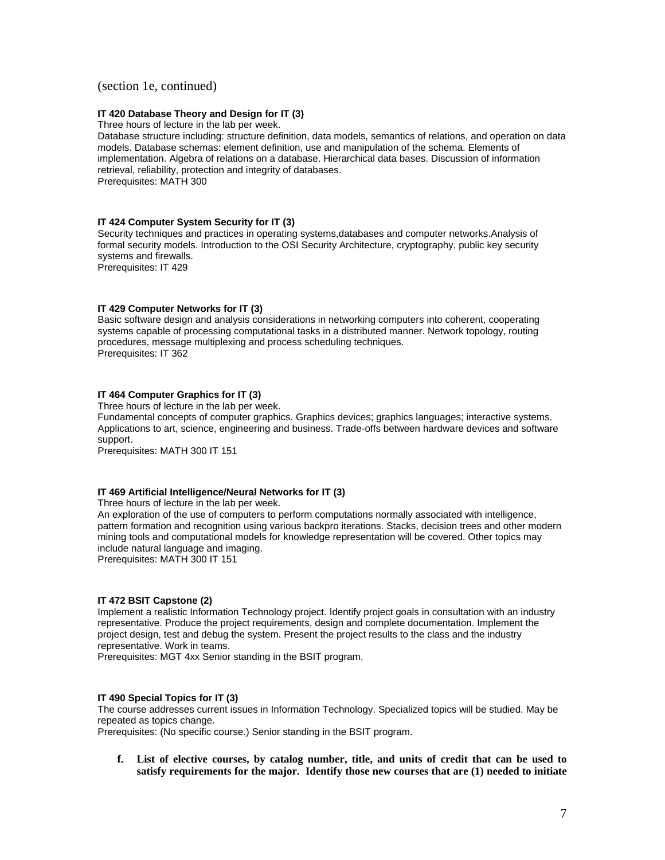### (section 1e, continued)

#### **IT 420 Database Theory and Design for IT (3)**

Three hours of lecture in the lab per week.

Database structure including: structure definition, data models, semantics of relations, and operation on data models. Database schemas: element definition, use and manipulation of the schema. Elements of implementation. Algebra of relations on a database. Hierarchical data bases. Discussion of information retrieval, reliability, protection and integrity of databases. Prerequisites: MATH 300

#### **IT 424 Computer System Security for IT (3)**

Security techniques and practices in operating systems,databases and computer networks.Analysis of formal security models. Introduction to the OSI Security Architecture, cryptography, public key security systems and firewalls.

Prerequisites: IT 429

#### **IT 429 Computer Networks for IT (3)**

Basic software design and analysis considerations in networking computers into coherent, cooperating systems capable of processing computational tasks in a distributed manner. Network topology, routing procedures, message multiplexing and process scheduling techniques. Prerequisites: IT 362

### **IT 464 Computer Graphics for IT (3)**

Three hours of lecture in the lab per week.

Fundamental concepts of computer graphics. Graphics devices; graphics languages; interactive systems. Applications to art, science, engineering and business. Trade-offs between hardware devices and software support.

Prerequisites: MATH 300 IT 151

### **IT 469 Artificial Intelligence/Neural Networks for IT (3)**

Three hours of lecture in the lab per week.

An exploration of the use of computers to perform computations normally associated with intelligence, pattern formation and recognition using various backpro iterations. Stacks, decision trees and other modern mining tools and computational models for knowledge representation will be covered. Other topics may include natural language and imaging.

Prerequisites: MATH 300 IT 151

#### **IT 472 BSIT Capstone (2)**

Implement a realistic Information Technology project. Identify project goals in consultation with an industry representative. Produce the project requirements, design and complete documentation. Implement the project design, test and debug the system. Present the project results to the class and the industry representative. Work in teams.

Prerequisites: MGT 4xx Senior standing in the BSIT program.

#### **IT 490 Special Topics for IT (3)**

The course addresses current issues in Information Technology. Specialized topics will be studied. May be repeated as topics change.

Prerequisites: (No specific course.) Senior standing in the BSIT program.

**f. List of elective courses, by catalog number, title, and units of credit that can be used to satisfy requirements for the major. Identify those new courses that are (1) needed to initiate**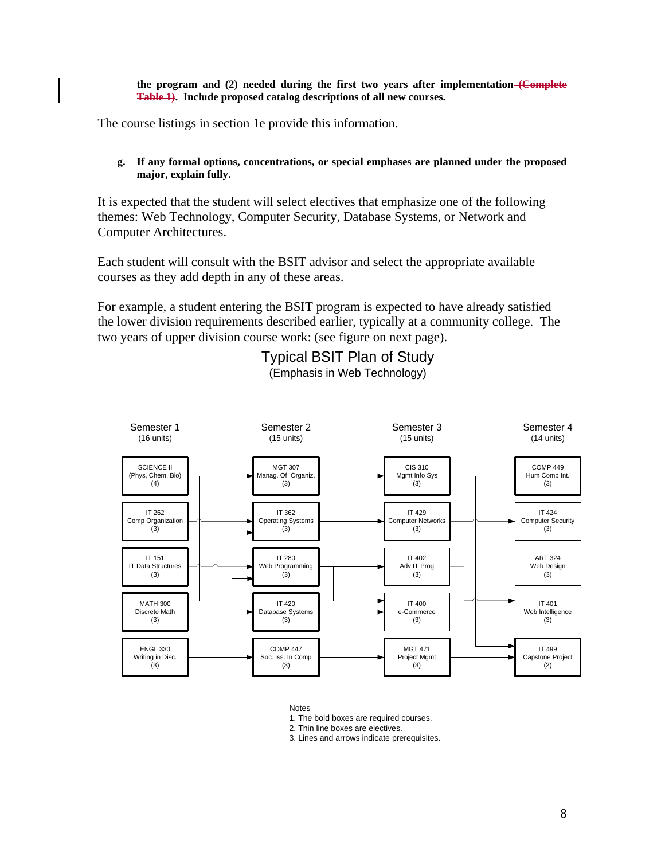**the program and (2) needed during the first two years after implementation (Complete Table 1). Include proposed catalog descriptions of all new courses.** 

The course listings in section 1e provide this information.

**g. If any formal options, concentrations, or special emphases are planned under the proposed major, explain fully.**

It is expected that the student will select electives that emphasize one of the following themes: Web Technology, Computer Security, Database Systems, or Network and Computer Architectures.

Each student will consult with the BSIT advisor and select the appropriate available courses as they add depth in any of these areas.

For example, a student entering the BSIT program is expected to have already satisfied the lower division requirements described earlier, typically at a community college. The two years of upper division course work: (see figure on next page).

> Typical BSIT Plan of Study (Emphasis in Web Technology)



Notes

1. The bold boxes are required courses.

2. Thin line boxes are electives.

3. Lines and arrows indicate prerequisites.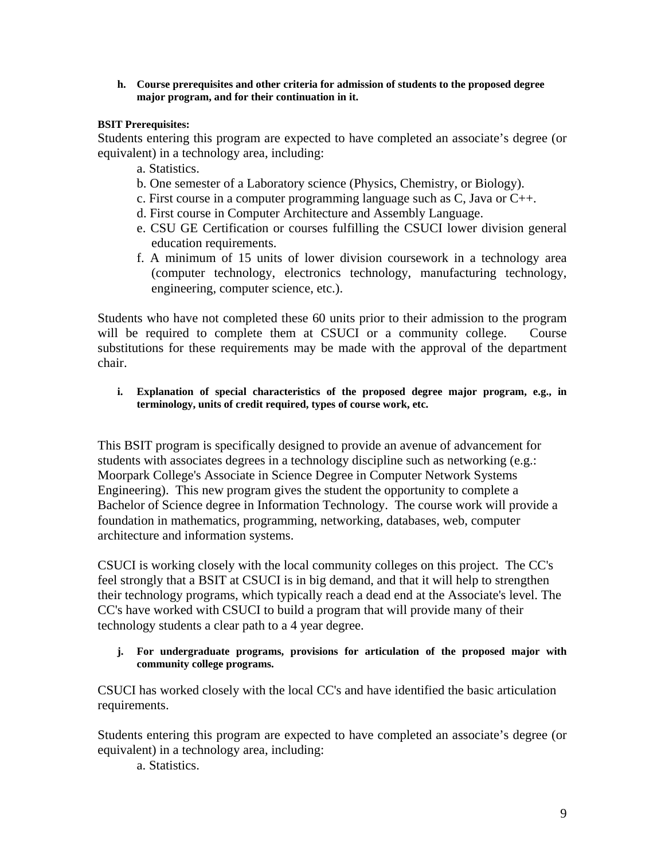**h. Course prerequisites and other criteria for admission of students to the proposed degree major program, and for their continuation in it.**

## **BSIT Prerequisites:**

Students entering this program are expected to have completed an associate's degree (or equivalent) in a technology area, including:

- a. Statistics.
- b. One semester of a Laboratory science (Physics, Chemistry, or Biology).
- c. First course in a computer programming language such as C, Java or C++.
- d. First course in Computer Architecture and Assembly Language.
- e. CSU GE Certification or courses fulfilling the CSUCI lower division general education requirements.
- f. A minimum of 15 units of lower division coursework in a technology area (computer technology, electronics technology, manufacturing technology, engineering, computer science, etc.).

Students who have not completed these 60 units prior to their admission to the program will be required to complete them at CSUCI or a community college. Course substitutions for these requirements may be made with the approval of the department chair.

**i. Explanation of special characteristics of the proposed degree major program, e.g., in terminology, units of credit required, types of course work, etc.**

This BSIT program is specifically designed to provide an avenue of advancement for students with associates degrees in a technology discipline such as networking (e.g.: Moorpark College's Associate in Science Degree in Computer Network Systems Engineering). This new program gives the student the opportunity to complete a Bachelor of Science degree in Information Technology. The course work will provide a foundation in mathematics, programming, networking, databases, web, computer architecture and information systems.

CSUCI is working closely with the local community colleges on this project. The CC's feel strongly that a BSIT at CSUCI is in big demand, and that it will help to strengthen their technology programs, which typically reach a dead end at the Associate's level. The CC's have worked with CSUCI to build a program that will provide many of their technology students a clear path to a 4 year degree.

**j. For undergraduate programs, provisions for articulation of the proposed major with community college programs.**

CSUCI has worked closely with the local CC's and have identified the basic articulation requirements.

Students entering this program are expected to have completed an associate's degree (or equivalent) in a technology area, including:

a. Statistics.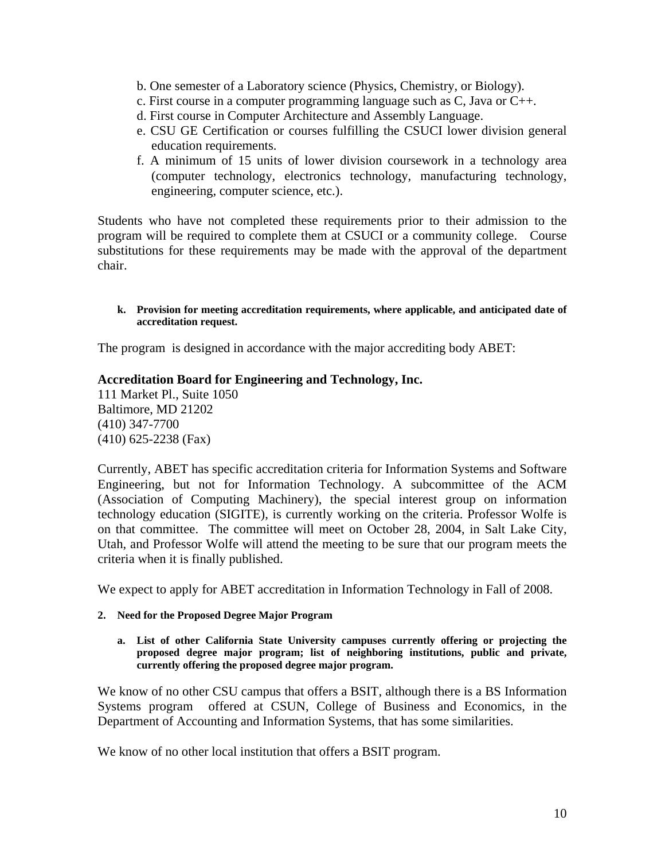- b. One semester of a Laboratory science (Physics, Chemistry, or Biology).
- c. First course in a computer programming language such as C, Java or C++.
- d. First course in Computer Architecture and Assembly Language.
- e. CSU GE Certification or courses fulfilling the CSUCI lower division general education requirements.
- f. A minimum of 15 units of lower division coursework in a technology area (computer technology, electronics technology, manufacturing technology, engineering, computer science, etc.).

Students who have not completed these requirements prior to their admission to the program will be required to complete them at CSUCI or a community college. Course substitutions for these requirements may be made with the approval of the department chair.

## **k. Provision for meeting accreditation requirements, where applicable, and anticipated date of accreditation request.**

The program is designed in accordance with the major accrediting body ABET:

# **Accreditation Board for Engineering and Technology, Inc.**

111 Market Pl., Suite 1050 Baltimore, MD 21202 (410) 347-7700 (410) 625-2238 (Fax)

Currently, ABET has specific accreditation criteria for Information Systems and Software Engineering, but not for Information Technology. A subcommittee of the ACM (Association of Computing Machinery), the special interest group on information technology education (SIGITE), is currently working on the criteria. Professor Wolfe is on that committee. The committee will meet on October 28, 2004, in Salt Lake City, Utah, and Professor Wolfe will attend the meeting to be sure that our program meets the criteria when it is finally published.

We expect to apply for ABET accreditation in Information Technology in Fall of 2008.

## **2. Need for the Proposed Degree Major Program**

**a. List of other California State University campuses currently offering or projecting the proposed degree major program; list of neighboring institutions, public and private, currently offering the proposed degree major program.**

We know of no other CSU campus that offers a BSIT, although there is a BS Information Systems program offered at CSUN, College of Business and Economics, in the Department of Accounting and Information Systems, that has some similarities.

We know of no other local institution that offers a BSIT program.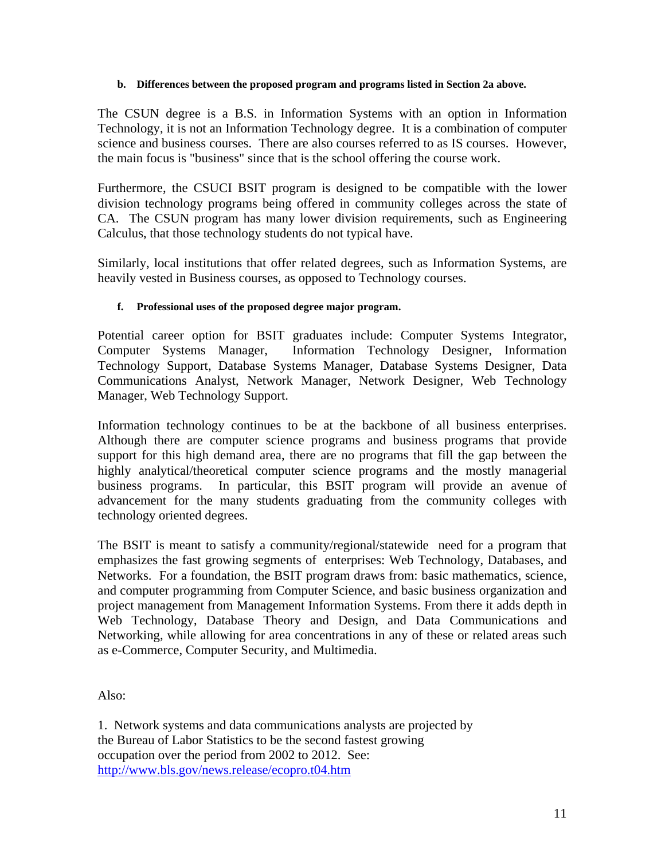## **b. Differences between the proposed program and programs listed in Section 2a above.**

The CSUN degree is a B.S. in Information Systems with an option in Information Technology, it is not an Information Technology degree. It is a combination of computer science and business courses. There are also courses referred to as IS courses. However, the main focus is "business" since that is the school offering the course work.

Furthermore, the CSUCI BSIT program is designed to be compatible with the lower division technology programs being offered in community colleges across the state of CA. The CSUN program has many lower division requirements, such as Engineering Calculus, that those technology students do not typical have.

Similarly, local institutions that offer related degrees, such as Information Systems, are heavily vested in Business courses, as opposed to Technology courses.

# **f. Professional uses of the proposed degree major program.**

Potential career option for BSIT graduates include: Computer Systems Integrator, Computer Systems Manager, Information Technology Designer, Information Technology Support, Database Systems Manager, Database Systems Designer, Data Communications Analyst, Network Manager, Network Designer, Web Technology Manager, Web Technology Support.

Information technology continues to be at the backbone of all business enterprises. Although there are computer science programs and business programs that provide support for this high demand area, there are no programs that fill the gap between the highly analytical/theoretical computer science programs and the mostly managerial business programs. In particular, this BSIT program will provide an avenue of advancement for the many students graduating from the community colleges with technology oriented degrees.

The BSIT is meant to satisfy a community/regional/statewide need for a program that emphasizes the fast growing segments of enterprises: Web Technology, Databases, and Networks. For a foundation, the BSIT program draws from: basic mathematics, science, and computer programming from Computer Science, and basic business organization and project management from Management Information Systems. From there it adds depth in Web Technology, Database Theory and Design, and Data Communications and Networking, while allowing for area concentrations in any of these or related areas such as e-Commerce, Computer Security, and Multimedia.

Also:

1. Network systems and data communications analysts are projected by the Bureau of Labor Statistics to be the second fastest growing occupation over the period from 2002 to 2012. See: <http://www.bls.gov/news.release/ecopro.t04.htm>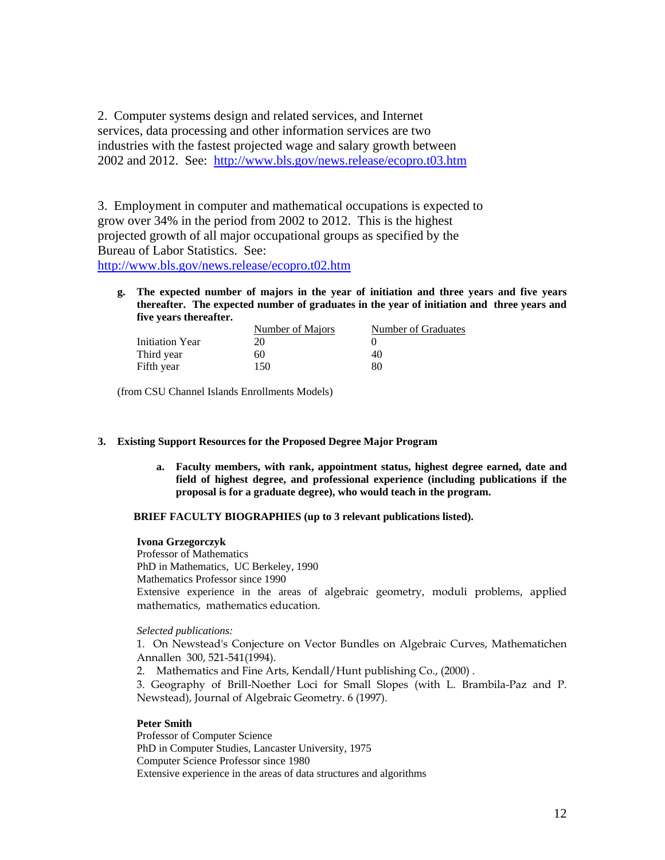2. Computer systems design and related services, and Internet services, data processing and other information services are two industries with the fastest projected wage and salary growth between 2002 and 2012. See: <http://www.bls.gov/news.release/ecopro.t03.htm>

3. Employment in computer and mathematical occupations is expected to grow over 34% in the period from 2002 to 2012. This is the highest projected growth of all major occupational groups as specified by the Bureau of Labor Statistics. See:

<http://www.bls.gov/news.release/ecopro.t02.htm>

**g. The expected number of majors in the year of initiation and three years and five years thereafter. The expected number of graduates in the year of initiation and three years and five years thereafter.**

|                 | Number of Majors | Number of Graduates |
|-----------------|------------------|---------------------|
| Initiation Year | 20               |                     |
| Third year      | 60               | 40                  |
| Fifth year      | 150              | 80                  |

(from CSU Channel Islands Enrollments Models)

## **3. Existing Support Resources for the Proposed Degree Major Program**

**a. Faculty members, with rank, appointment status, highest degree earned, date and field of highest degree, and professional experience (including publications if the proposal is for a graduate degree), who would teach in the program.**

## **BRIEF FACULTY BIOGRAPHIES (up to 3 relevant publications listed).**

### **Ivona Grzegorczyk**

Professor of Mathematics PhD in Mathematics, UC Berkeley, 1990 Mathematics Professor since 1990 Extensive experience in the areas of algebraic geometry, moduli problems, applied mathematics, mathematics education.

### *Selected publications:*

1. On Newstead's Conjecture on Vector Bundles on Algebraic Curves, Mathematichen Annallen 300, 521-541(1994).

2. Mathematics and Fine Arts, Kendall/Hunt publishing Co., (2000) .

3. Geography of Brill-Noether Loci for Small Slopes (with L. Brambila-Paz and P. Newstead), Journal of Algebraic Geometry. 6 (1997).

### **Peter Smith**

Professor of Computer Science PhD in Computer Studies, Lancaster University, 1975 Computer Science Professor since 1980 Extensive experience in the areas of data structures and algorithms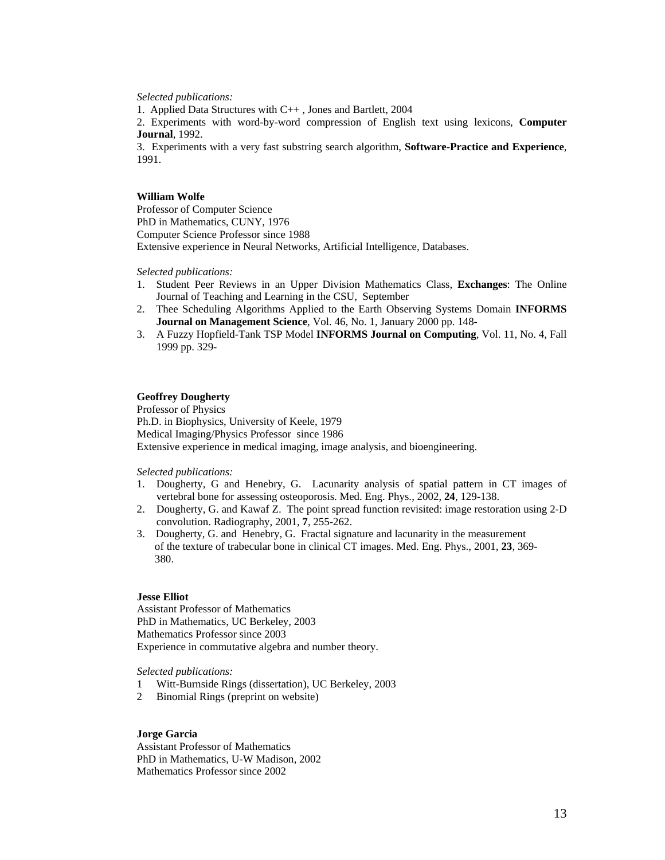*Selected publications:*

1. Applied Data Structures with C++ , Jones and Bartlett, 2004

2. Experiments with word-by-word compression of English text using lexicons, **Computer Journal**, 1992.

3. Experiments with a very fast substring search algorithm, **Software-Practice and Experience**, 1991.

### **William Wolfe**

Professor of Computer Science PhD in Mathematics, CUNY, 1976 Computer Science Professor since 1988 Extensive experience in Neural Networks, Artificial Intelligence, Databases.

*Selected publications:*

- 1. Student Peer Reviews in an Upper Division Mathematics Class, **Exchanges**: The Online Journal of Teaching and Learning in the CSU, September
- 2. Thee Scheduling Algorithms Applied to the Earth Observing Systems Domain **INFORMS Journal on Management Science**, Vol. 46, No. 1, January 2000 pp. 148-
- 3. A Fuzzy Hopfield-Tank TSP Model **INFORMS Journal on Computing**, Vol. 11, No. 4, Fall 1999 pp. 329-

## **Geoffrey Dougherty**

Professor of Physics Ph.D. in Biophysics, University of Keele, 1979 Medical Imaging/Physics Professor since 1986 Extensive experience in medical imaging, image analysis, and bioengineering.

*Selected publications:*

- 1. Dougherty, G and Henebry, G. Lacunarity analysis of spatial pattern in CT images of vertebral bone for assessing osteoporosis. Med. Eng. Phys., 2002, **24**, 129-138.
- 2. Dougherty, G. and Kawaf Z. The point spread function revisited: image restoration using 2-D convolution. Radiography, 2001, **7**, 255-262.
- 3. Dougherty, G. and Henebry, G. Fractal signature and lacunarity in the measurement of the texture of trabecular bone in clinical CT images. Med. Eng. Phys., 2001, **23**, 369- 380.

### **Jesse Elliot**

Assistant Professor of Mathematics PhD in Mathematics, UC Berkeley, 2003 Mathematics Professor since 2003 Experience in commutative algebra and number theory.

*Selected publications:*

- 1 Witt-Burnside Rings (dissertation), UC Berkeley, 2003
- 2 Binomial Rings (preprint on website)

### **Jorge Garcia**

Assistant Professor of Mathematics PhD in Mathematics, U-W Madison, 2002 Mathematics Professor since 2002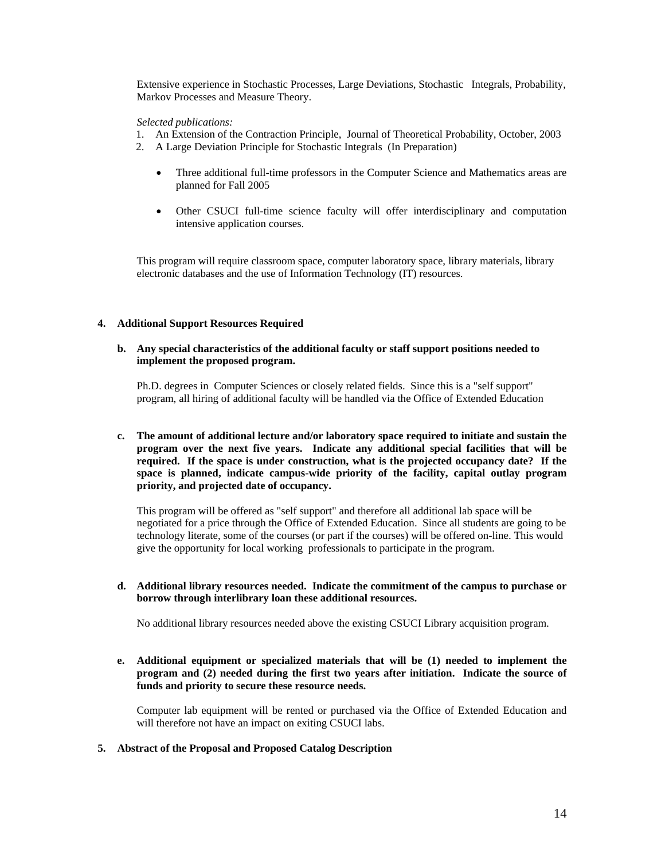Extensive experience in Stochastic Processes, Large Deviations, Stochastic Integrals, Probability, Markov Processes and Measure Theory.

### *Selected publications:*

- 1. An Extension of the Contraction Principle, Journal of Theoretical Probability, October, 2003
- 2. A Large Deviation Principle for Stochastic Integrals (In Preparation)
	- Three additional full-time professors in the Computer Science and Mathematics areas are planned for Fall 2005
	- Other CSUCI full-time science faculty will offer interdisciplinary and computation intensive application courses.

This program will require classroom space, computer laboratory space, library materials, library electronic databases and the use of Information Technology (IT) resources.

### **4. Additional Support Resources Required**

**b. Any special characteristics of the additional faculty or staff support positions needed to implement the proposed program.**

Ph.D. degrees in Computer Sciences or closely related fields. Since this is a "self support" program, all hiring of additional faculty will be handled via the Office of Extended Education

**c. The amount of additional lecture and/or laboratory space required to initiate and sustain the program over the next five years. Indicate any additional special facilities that will be required. If the space is under construction, what is the projected occupancy date? If the space is planned, indicate campus-wide priority of the facility, capital outlay program priority, and projected date of occupancy.**

This program will be offered as "self support" and therefore all additional lab space will be negotiated for a price through the Office of Extended Education. Since all students are going to be technology literate, some of the courses (or part if the courses) will be offered on-line. This would give the opportunity for local working professionals to participate in the program.

**d. Additional library resources needed. Indicate the commitment of the campus to purchase or borrow through interlibrary loan these additional resources.**

No additional library resources needed above the existing CSUCI Library acquisition program.

**e. Additional equipment or specialized materials that will be (1) needed to implement the program and (2) needed during the first two years after initiation. Indicate the source of funds and priority to secure these resource needs.**

Computer lab equipment will be rented or purchased via the Office of Extended Education and will therefore not have an impact on exiting CSUCI labs.

**5. Abstract of the Proposal and Proposed Catalog Description**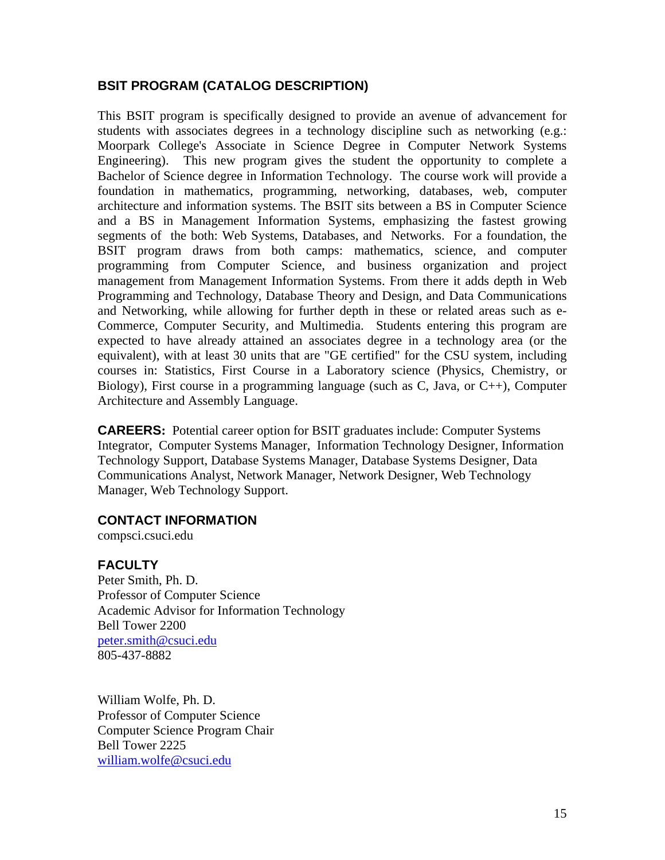# **BSIT PROGRAM (CATALOG DESCRIPTION)**

This BSIT program is specifically designed to provide an avenue of advancement for students with associates degrees in a technology discipline such as networking (e.g.: Moorpark College's Associate in Science Degree in Computer Network Systems Engineering). This new program gives the student the opportunity to complete a Bachelor of Science degree in Information Technology. The course work will provide a foundation in mathematics, programming, networking, databases, web, computer architecture and information systems. The BSIT sits between a BS in Computer Science and a BS in Management Information Systems, emphasizing the fastest growing segments of the both: Web Systems, Databases, and Networks. For a foundation, the BSIT program draws from both camps: mathematics, science, and computer programming from Computer Science, and business organization and project management from Management Information Systems. From there it adds depth in Web Programming and Technology, Database Theory and Design, and Data Communications and Networking, while allowing for further depth in these or related areas such as e-Commerce, Computer Security, and Multimedia. Students entering this program are expected to have already attained an associates degree in a technology area (or the equivalent), with at least 30 units that are "GE certified" for the CSU system, including courses in: Statistics, First Course in a Laboratory science (Physics, Chemistry, or Biology), First course in a programming language (such as C, Java, or C++), Computer Architecture and Assembly Language.

**CAREERS:** Potential career option for BSIT graduates include: Computer Systems Integrator, Computer Systems Manager, Information Technology Designer, Information Technology Support, Database Systems Manager, Database Systems Designer, Data Communications Analyst, Network Manager, Network Designer, Web Technology Manager, Web Technology Support.

# **CONTACT INFORMATION**

compsci.csuci.edu

# **FACULTY**

Peter Smith, Ph. D. Professor of Computer Science Academic Advisor for Information Technology Bell Tower 2200 [peter.smith@csuci.edu](mailto:peter.smith@csuci.edu) 805-437-8882

William Wolfe, Ph. D. Professor of Computer Science Computer Science Program Chair Bell Tower 2225 [william.wolfe@csuci.edu](mailto:william.wolfe@csuci.edu)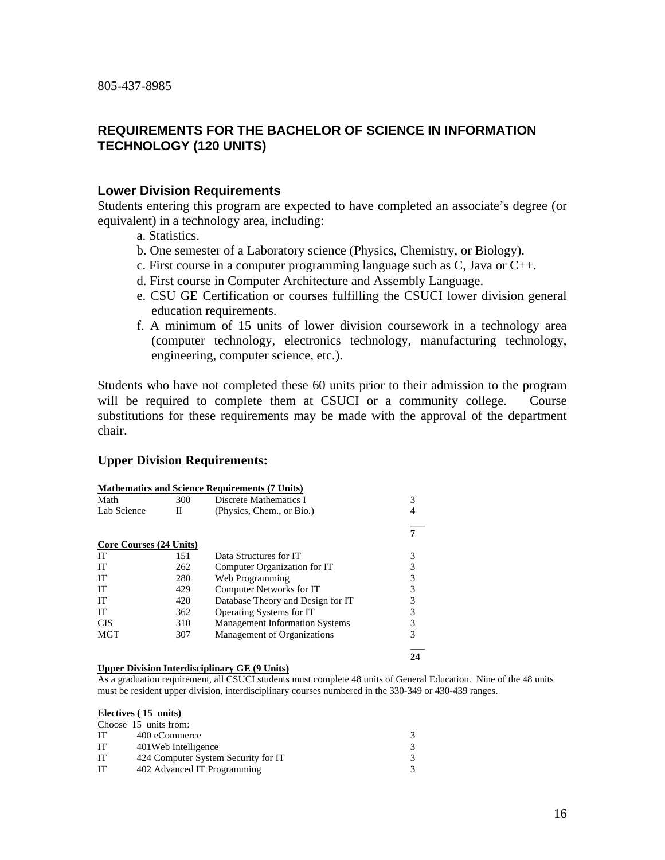# **REQUIREMENTS FOR THE BACHELOR OF SCIENCE IN INFORMATION TECHNOLOGY (120 UNITS)**

# **Lower Division Requirements**

Students entering this program are expected to have completed an associate's degree (or equivalent) in a technology area, including:

- a. Statistics.
- b. One semester of a Laboratory science (Physics, Chemistry, or Biology).
- c. First course in a computer programming language such as C, Java or C++.
- d. First course in Computer Architecture and Assembly Language.
- e. CSU GE Certification or courses fulfilling the CSUCI lower division general education requirements.
- f. A minimum of 15 units of lower division coursework in a technology area (computer technology, electronics technology, manufacturing technology, engineering, computer science, etc.).

Students who have not completed these 60 units prior to their admission to the program will be required to complete them at CSUCI or a community college. Course substitutions for these requirements may be made with the approval of the department chair.

# **Upper Division Requirements:**

|                         |     | <b>Mathematics and Science Requirements (7 Units)</b> |   |
|-------------------------|-----|-------------------------------------------------------|---|
| Math                    | 300 | Discrete Mathematics I                                | 3 |
| Lab Science             | П   | (Physics, Chem., or Bio.)                             |   |
|                         |     |                                                       |   |
| Core Courses (24 Units) |     |                                                       |   |
| IТ                      | 151 | Data Structures for IT                                |   |
| IТ                      | 262 | Computer Organization for IT                          | 3 |
| IТ                      | 280 | Web Programming                                       | 3 |
| IТ                      | 429 | Computer Networks for IT                              |   |
| IТ                      | 420 | Database Theory and Design for IT                     |   |
| IТ                      | 362 | Operating Systems for IT                              | 3 |
| <b>CIS</b>              | 310 | <b>Management Information Systems</b>                 | 3 |
| MGT                     | 307 | Management of Organizations                           | 3 |
|                         |     |                                                       |   |

### **Upper Division Interdisciplinary GE (9 Units)**

As a graduation requirement, all CSUCI students must complete 48 units of General Education. Nine of the 48 units must be resident upper division, interdisciplinary courses numbered in the 330-349 or 430-439 ranges.

### **Electives ( 15 units)**

| Choose 15 units from:               |   |
|-------------------------------------|---|
| 400 eCommerce                       | 3 |
| 401 Web Intelligence                |   |
| 424 Computer System Security for IT | 3 |
| 402 Advanced IT Programming         | 3 |
|                                     |   |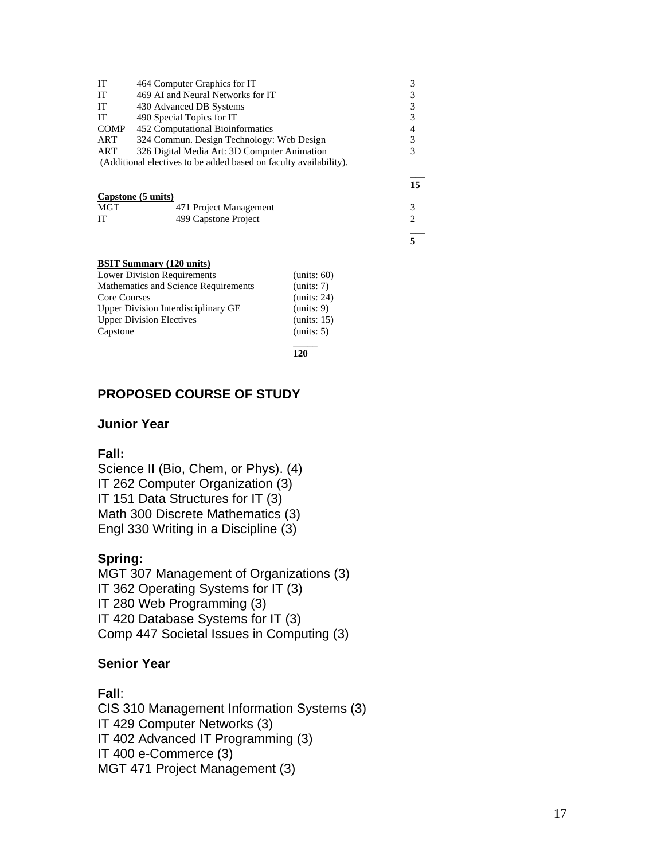| IT          | 464 Computer Graphics for IT                                      |    |
|-------------|-------------------------------------------------------------------|----|
| IT          | 469 AI and Neural Networks for IT                                 |    |
| IT          | 430 Advanced DB Systems                                           | 3  |
| IT          | 490 Special Topics for IT                                         | 3  |
| <b>COMP</b> | 452 Computational Bioinformatics                                  | 4  |
| ART         | 324 Commun. Design Technology: Web Design                         | 3  |
| ART         | 326 Digital Media Art: 3D Computer Animation                      |    |
|             | (Additional electives to be added based on faculty availability). |    |
|             |                                                                   | 15 |
|             | Capstone (5 units)                                                |    |
| <b>MGT</b>  | 471 Project Management                                            |    |
| IТ          | 499 Capstone Project                                              | 2  |

## **BSIT Summary (120 units)**

| <b>Lower Division Requirements</b>   | (units: 60) |
|--------------------------------------|-------------|
| Mathematics and Science Requirements | (units: 7)  |
| <b>Core Courses</b>                  | (units: 24) |
| Upper Division Interdisciplinary GE  | (units: 9)  |
| <b>Upper Division Electives</b>      | (units: 15) |
| Capstone                             | (units: 5)  |
|                                      |             |

**120**

\_\_\_ **5**

# **PROPOSED COURSE OF STUDY**

## **Junior Year**

## **Fall:**

Science II (Bio, Chem, or Phys). (4) IT 262 Computer Organization (3) IT 151 Data Structures for IT (3) Math 300 Discrete Mathematics (3) Engl 330 Writing in a Discipline (3)

## **Spring:**

MGT 307 Management of Organizations (3) IT 362 Operating Systems for IT (3) IT 280 Web Programming (3) IT 420 Database Systems for IT (3) Comp 447 Societal Issues in Computing (3)

## **Senior Year**

# **Fall**:

CIS 310 Management Information Systems (3) IT 429 Computer Networks (3) IT 402 Advanced IT Programming (3) IT 400 e-Commerce (3) MGT 471 Project Management (3)